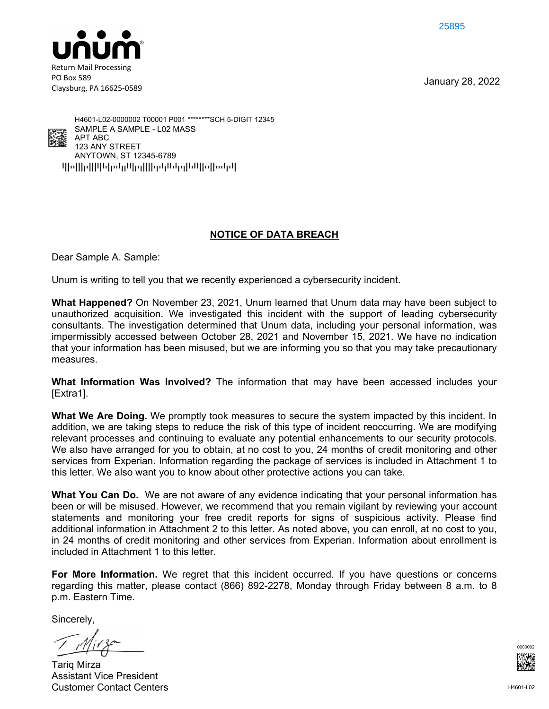25895



Claysburg, PA 16625-0589

January 28, 2022



qpoppqppppopppppppppppppppppppppppp ANYTOWN, ST 12345-6789 123 ANY STREET APT ABC SAMPLE A SAMPLE - L02 MASS H4601-L02-0000002 T00001 P001 \*\*\*\*\*\*\*\*SCH 5-DIGIT 12345

# **NOTICE OF DATA BREACH**

Dear Sample A. Sample:

Unum is writing to tell you that we recently experienced a cybersecurity incident.

**What Happened?** On November 23, 2021, Unum learned that Unum data may have been subject to unauthorized acquisition. We investigated this incident with the support of leading cybersecurity consultants. The investigation determined that Unum data, including your personal information, was impermissibly accessed between October 28, 2021 and November 15, 2021. We have no indication that your information has been misused, but we are informing you so that you may take precautionary measures.

**What Information Was Involved?** The information that may have been accessed includes your [Extra1].

**What We Are Doing.** We promptly took measures to secure the system impacted by this incident. In addition, we are taking steps to reduce the risk of this type of incident reoccurring. We are modifying relevant processes and continuing to evaluate any potential enhancements to our security protocols. We also have arranged for you to obtain, at no cost to you, 24 months of credit monitoring and other services from Experian. Information regarding the package of services is included in Attachment 1 to this letter. We also want you to know about other protective actions you can take.

**What You Can Do.** We are not aware of any evidence indicating that your personal information has been or will be misused. However, we recommend that you remain vigilant by reviewing your account statements and monitoring your free credit reports for signs of suspicious activity. Please find additional information in Attachment 2 to this letter. As noted above, you can enroll, at no cost to you, in 24 months of credit monitoring and other services from Experian. Information about enrollment is included in Attachment 1 to this letter.

**For More Information.** We regret that this incident occurred. If you have questions or concerns regarding this matter, please contact (866) 892-2278, Monday through Friday between 8 a.m. to 8 p.m. Eastern Time.

Sincerely,

Tariq Mirza Assistant Vice President Customer Contact Centers

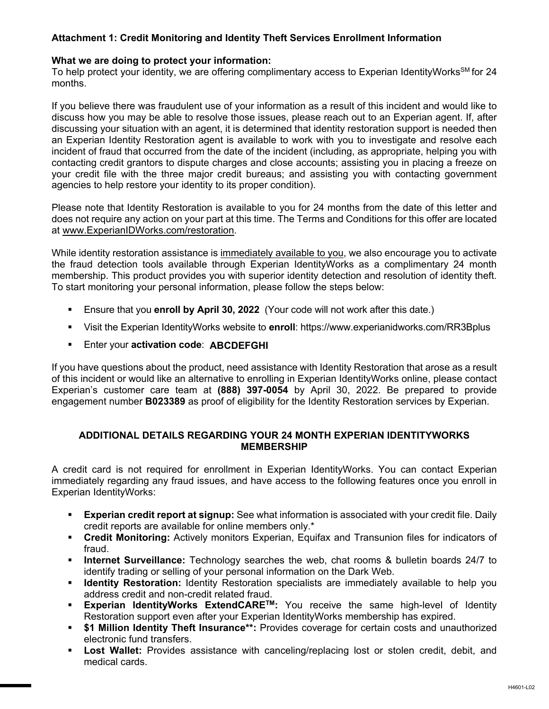# **Attachment 1: Credit Monitoring and Identity Theft Services Enrollment Information**

### **What we are doing to protect your information:**

To help protect your identity, we are offering complimentary access to Experian IdentityWorks<sup>SM</sup> for 24 months.

If you believe there was fraudulent use of your information as a result of this incident and would like to discuss how you may be able to resolve those issues, please reach out to an Experian agent. If, after discussing your situation with an agent, it is determined that identity restoration support is needed then an Experian Identity Restoration agent is available to work with you to investigate and resolve each incident of fraud that occurred from the date of the incident (including, as appropriate, helping you with contacting credit grantors to dispute charges and close accounts; assisting you in placing a freeze on your credit file with the three major credit bureaus; and assisting you with contacting government agencies to help restore your identity to its proper condition).

Please note that Identity Restoration is available to you for 24 months from the date of this letter and does not require any action on your part at this time. The Terms and Conditions for this offer are located at www.ExperianIDWorks.com/restoration.

While identity restoration assistance is immediately available to you, we also encourage you to activate the fraud detection tools available through Experian IdentityWorks as a complimentary 24 month membership. This product provides you with superior identity detection and resolution of identity theft. To start monitoring your personal information, please follow the steps below:

- Ensure that you **enroll by April 30, 2022** (Your code will not work after this date.)
- Visit the Experian IdentityWorks website to **enroll**: https://www.experianidworks.com/RR3Bplus
- **Enter your activation code: ABCDEFGHI**

If you have questions about the product, need assistance with Identity Restoration that arose as a result of this incident or would like an alternative to enrolling in Experian IdentityWorks online, please contact Experian's customer care team at **(888) 397-0054** by April 30, 2022. Be prepared to provide engagement number **B023389** as proof of eligibility for the Identity Restoration services by Experian.

### **ADDITIONAL DETAILS REGARDING YOUR 24 MONTH EXPERIAN IDENTITYWORKS MEMBERSHIP**

A credit card is not required for enrollment in Experian IdentityWorks. You can contact Experian immediately regarding any fraud issues, and have access to the following features once you enroll in Experian IdentityWorks:

- **Experian credit report at signup:** See what information is associated with your credit file. Daily credit reports are available for online members only.\*
- **Credit Monitoring:** Actively monitors Experian, Equifax and Transunion files for indicators of fraud.
- **Internet Surveillance:** Technology searches the web, chat rooms & bulletin boards 24/7 to identify trading or selling of your personal information on the Dark Web.
- **If Identity Restoration:** Identity Restoration specialists are immediately available to help you address credit and non-credit related fraud.
- **Experian IdentityWorks ExtendCARE<sup>TM</sup>:** You receive the same high-level of Identity Restoration support even after your Experian IdentityWorks membership has expired.
- **\$1 Million Identity Theft Insurance\*\*:** Provides coverage for certain costs and unauthorized electronic fund transfers.
- **Lost Wallet:** Provides assistance with canceling/replacing lost or stolen credit, debit, and medical cards.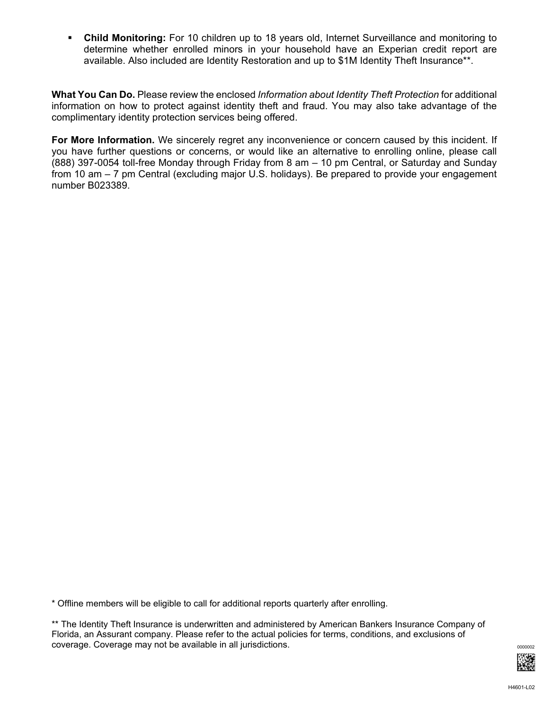**Child Monitoring:** For 10 children up to 18 years old, Internet Surveillance and monitoring to determine whether enrolled minors in your household have an Experian credit report are available. Also included are Identity Restoration and up to \$1M Identity Theft Insurance\*\*.

**What You Can Do.** Please review the enclosed *Information about Identity Theft Protection* for additional information on how to protect against identity theft and fraud. You may also take advantage of the complimentary identity protection services being offered.

**For More Information.** We sincerely regret any inconvenience or concern caused by this incident. If you have further questions or concerns, or would like an alternative to enrolling online, please call (888) 397-0054 toll-free Monday through Friday from 8 am – 10 pm Central, or Saturday and Sunday from 10 am – 7 pm Central (excluding major U.S. holidays). Be prepared to provide your engagement number B023389.

\* Offline members will be eligible to call for additional reports quarterly after enrolling.

\*\* The Identity Theft Insurance is underwritten and administered by American Bankers Insurance Company of Florida, an Assurant company. Please refer to the actual policies for terms, conditions, and exclusions of coverage. Coverage may not be available in all jurisdictions.  $\frac{1}{2}$  coverage substitutions of  $\frac{000002}{2}$ 

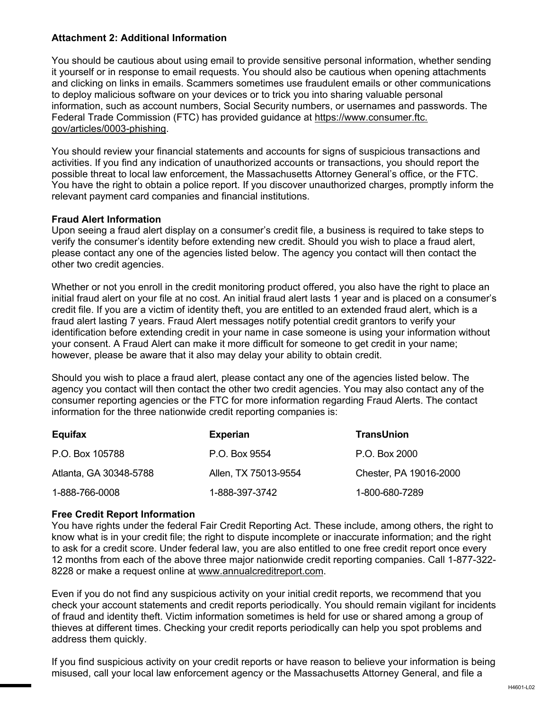## **Attachment 2: Additional Information**

You should be cautious about using email to provide sensitive personal information, whether sending it yourself or in response to email requests. You should also be cautious when opening attachments and clicking on links in emails. Scammers sometimes use fraudulent emails or other communications to deploy malicious software on your devices or to trick you into sharing valuable personal information, such as account numbers, Social Security numbers, or usernames and passwords. The Federal Trade Commission (FTC) has provided guidance at https://www.consumer.ftc. gov/articles/0003-phishing.

You should review your financial statements and accounts for signs of suspicious transactions and activities. If you find any indication of unauthorized accounts or transactions, you should report the possible threat to local law enforcement, the Massachusetts Attorney General's office, or the FTC. You have the right to obtain a police report. If you discover unauthorized charges, promptly inform the relevant payment card companies and financial institutions.

### **Fraud Alert Information**

Upon seeing a fraud alert display on a consumer's credit file, a business is required to take steps to verify the consumer's identity before extending new credit. Should you wish to place a fraud alert, please contact any one of the agencies listed below. The agency you contact will then contact the other two credit agencies.

Whether or not you enroll in the credit monitoring product offered, you also have the right to place an initial fraud alert on your file at no cost. An initial fraud alert lasts 1 year and is placed on a consumer's credit file. If you are a victim of identity theft, you are entitled to an extended fraud alert, which is a fraud alert lasting 7 years. Fraud Alert messages notify potential credit grantors to verify your identification before extending credit in your name in case someone is using your information without your consent. A Fraud Alert can make it more difficult for someone to get credit in your name; however, please be aware that it also may delay your ability to obtain credit.

Should you wish to place a fraud alert, please contact any one of the agencies listed below. The agency you contact will then contact the other two credit agencies. You may also contact any of the consumer reporting agencies or the FTC for more information regarding Fraud Alerts. The contact information for the three nationwide credit reporting companies is:

| Equifax                | <b>Experian</b>      | <b>TransUnion</b>      |
|------------------------|----------------------|------------------------|
| P.O. Box 105788        | P.O. Box 9554        | P.O. Box 2000          |
| Atlanta, GA 30348-5788 | Allen, TX 75013-9554 | Chester, PA 19016-2000 |
| 1-888-766-0008         | 1-888-397-3742       | 1-800-680-7289         |

#### **Free Credit Report Information**

You have rights under the federal Fair Credit Reporting Act. These include, among others, the right to know what is in your credit file; the right to dispute incomplete or inaccurate information; and the right to ask for a credit score. Under federal law, you are also entitled to one free credit report once every 12 months from each of the above three major nationwide credit reporting companies. Call 1-877-322- 8228 or make a request online at www.annualcreditreport.com.

Even if you do not find any suspicious activity on your initial credit reports, we recommend that you check your account statements and credit reports periodically. You should remain vigilant for incidents of fraud and identity theft. Victim information sometimes is held for use or shared among a group of thieves at different times. Checking your credit reports periodically can help you spot problems and address them quickly.

If you find suspicious activity on your credit reports or have reason to believe your information is being misused, call your local law enforcement agency or the Massachusetts Attorney General, and file a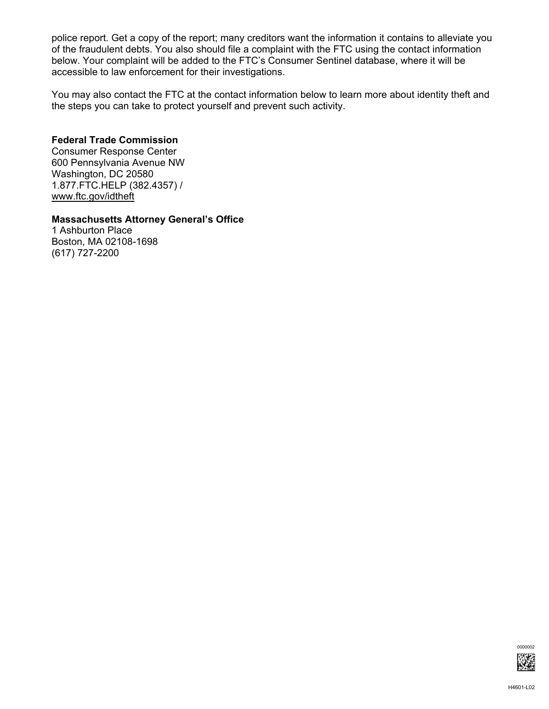police report. Get a copy of the report; many creditors want the information it contains to alleviate you of the fraudulent debts. You also should file a complaint with the FTC using the contact information below. Your complaint will be added to the FTC's Consumer Sentinel database, where it will be accessible to law enforcement for their investigations.

You may also contact the FTC at the contact information below to learn more about identity theft and the steps you can take to protect yourself and prevent such activity.

# **Federal Trade Commission**

Consumer Response Center 600 Pennsylvania Avenue NW Washington, DC 20580 1.877.FTC.HELP (382.4357) / www.ftc.gov/idtheft

# **Massachusetts Attorney General's Office**

1 Ashburton Place Boston, MA 02108-1698 (617) 727-2200